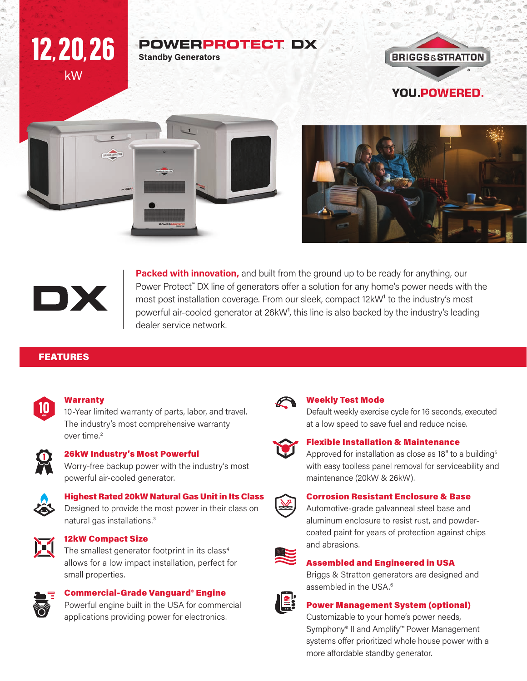### **POWERPROTECT DX Standby Generators**









kW

12, 20, 26

**Packed with innovation,** and built from the ground up to be ready for anything, our Power Protect™ DX line of generators offer a solution for any home's power needs with the most post installation coverage. From our sleek, compact 12kW<sup>1</sup> to the industry's most powerful air-cooled generator at 26kW<sup>1</sup>, this line is also backed by the industry's leading dealer service network.

#### FEATURES



#### **Warranty**

10-Year limited warranty of parts, labor, and travel. The industry's most comprehensive warranty over time.<sup>2</sup>



#### 26kW Industry's Most Powerful

Worry-free backup power with the industry's most powerful air-cooled generator.



#### Highest Rated 20kW Natural Gas Unit in Its Class

Designed to provide the most power in their class on natural gas installations.3



#### 12kW Compact Size

The smallest generator footprint in its class<sup>4</sup> allows for a low impact installation, perfect for small properties.



#### Commercial-Grade Vanguard® Engine

Powerful engine built in the USA for commercial applications providing power for electronics.



#### Weekly Test Mode

Default weekly exercise cycle for 16 seconds, executed at a low speed to save fuel and reduce noise.



#### Flexible Installation & Maintenance

Approved for installation as close as 18" to a building<sup>5</sup> with easy toolless panel removal for serviceability and maintenance (20kW & 26kW).



#### Corrosion Resistant Enclosure & Base

Automotive-grade galvanneal steel base and aluminum enclosure to resist rust, and powdercoated paint for years of protection against chips and abrasions.



#### Assembled and Engineered in USA

Briggs & Stratton generators are designed and assembled in the USA.<sup>6</sup>



#### Power Management System (optional)

Customizable to your home's power needs, Symphony® II and Amplify™ Power Management systems offer prioritized whole house power with a more affordable standby generator.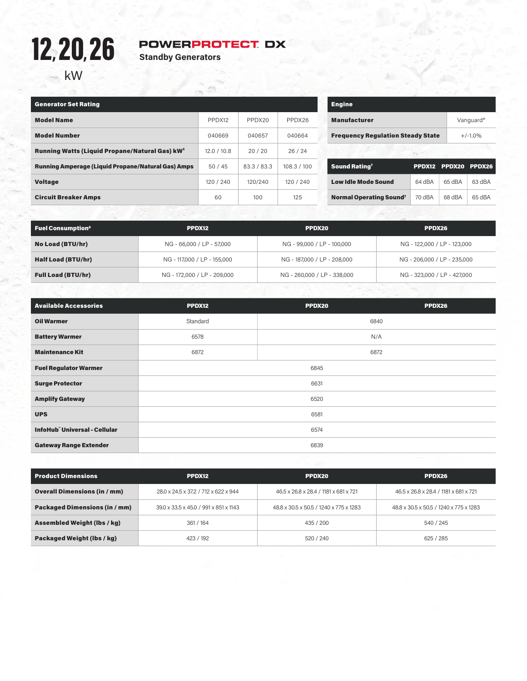# kW 12, 20, 26

# **POWERPROTECT DX**<br>Standby Generators

| <b>Generator Set Rating</b>                               |             |             |             |  |
|-----------------------------------------------------------|-------------|-------------|-------------|--|
| <b>Model Name</b>                                         | PPDX12      | PPDX20      | PPDX26      |  |
| <b>Model Number</b>                                       | 040669      | 040657      | 040664      |  |
| <b>Running Watts (Liquid Propane/Natural Gas) kW</b>      | 12.0 / 10.8 | 20/20       | 26/24       |  |
| <b>Running Amperage (Liquid Propane/Natural Gas) Amps</b> | 50/45       | 83.3 / 83.3 | 108.3 / 100 |  |
| <b>Voltage</b>                                            | 120 / 240   | 120/240     | 120/240     |  |
| <b>Circuit Breaker Amps</b>                               | 60          | 100         | 125         |  |

| <b>Engine</b>                            |           |
|------------------------------------------|-----------|
| <b>Manufacturer</b>                      | Vanguard® |
| <b>Frequency Regulation Steady State</b> | $+/-1.0%$ |
|                                          |           |

| Sound Rating <sup>7</sup>      |        | PPDX12 PPDX20 PPDX26 |        |
|--------------------------------|--------|----------------------|--------|
| <b>Low Idle Mode Sound</b>     | 64 dBA | 65 dBA               | 63 dBA |
| <b>Normal Operating Sound?</b> | 70 dBA | 68 dBA               | 65 dBA |

| <b>Fuel Consumption<sup>8</sup></b> | PPDX12                      | PPDX20                      | PPDX26                      |
|-------------------------------------|-----------------------------|-----------------------------|-----------------------------|
| No Load (BTU/hr)                    | NG - 66,000 / LP - 57,000   | NG - 99.000 / LP - 100.000  | NG - 122,000 / LP - 123,000 |
| <b>Half Load (BTU/hr)</b>           | NG - 117.000 / LP - 155.000 | NG - 187,000 / LP - 208,000 | NG - 206,000 / LP - 235,000 |
| <b>Full Load (BTU/hr)</b>           | NG - 172,000 / LP - 209,000 | NG - 260,000 / LP - 338,000 | NG - 323,000 / LP - 427,000 |

| <b>Available Accessories</b>        | PPDX12   | PPDX20 | PPDX26 |  |
|-------------------------------------|----------|--------|--------|--|
| <b>Oil Warmer</b>                   | Standard | 6840   |        |  |
| <b>Battery Warmer</b>               | 6578     | N/A    |        |  |
| <b>Maintenance Kit</b>              | 6872     | 6872   |        |  |
| <b>Fuel Regulator Warmer</b>        | 6845     |        |        |  |
| <b>Surge Protector</b>              | 6631     |        |        |  |
| <b>Amplify Gateway</b>              | 6520     |        |        |  |
| <b>UPS</b>                          | 6581     |        |        |  |
| <b>InfoHub Universal - Cellular</b> |          | 6574   |        |  |
| <b>Gateway Range Extender</b>       |          | 6839   |        |  |

| <b>Product Dimensions</b>            | PPDX12                                | PPDX20                                 | PPDX26                                 |
|--------------------------------------|---------------------------------------|----------------------------------------|----------------------------------------|
| <b>Overall Dimensions (in / mm)</b>  | 28.0 x 24.5 x 37.2 / 712 x 622 x 944  | 46.5 x 26.8 x 28.4 / 1181 x 681 x 721  | 46.5 x 26.8 x 28.4 / 1181 x 681 x 721  |
| <b>Packaged Dimensions (in / mm)</b> | 39.0 x 33.5 x 45.0 / 991 x 851 x 1143 | 48.8 x 30.5 x 50.5 / 1240 x 775 x 1283 | 48.8 x 30.5 x 50.5 / 1240 x 775 x 1283 |
| <b>Assembled Weight (lbs / kg)</b>   | 361 / 164                             | 435 / 200                              | 540 / 245                              |
| Packaged Weight (lbs / kg)           | 423 / 192                             | 520/240                                | 625 / 285                              |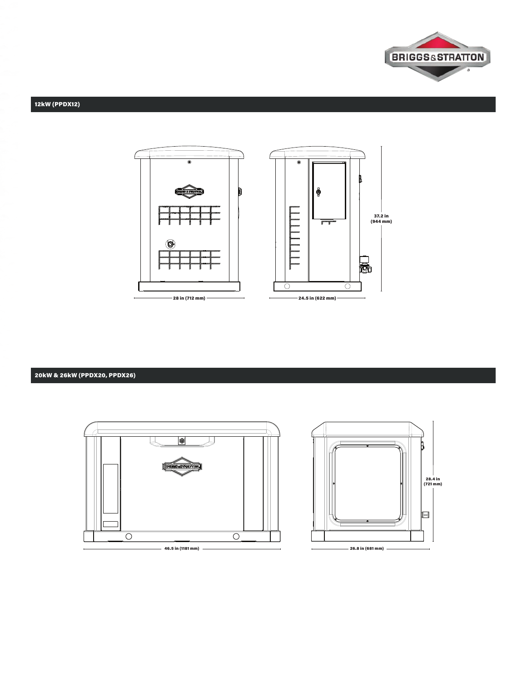

#### 12kW (PPDX12)



20kW & 26kW (PPDX20, PPDX26)